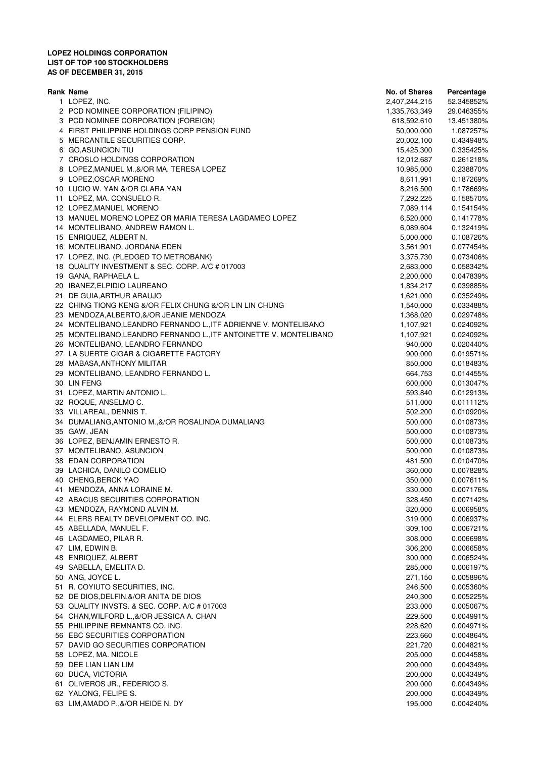## **LOPEZ HOLDINGS CORPORATION LIST OF TOP 100 STOCKHOLDERS AS OF DECEMBER 31, 2015**

| Rank Name                                                          | No. of Shares | Percentage |
|--------------------------------------------------------------------|---------------|------------|
| 1 LOPEZ, INC.                                                      | 2,407,244,215 | 52.345852% |
| 2 PCD NOMINEE CORPORATION (FILIPINO)                               | 1,335,763,349 | 29.046355% |
| 3 PCD NOMINEE CORPORATION (FOREIGN)                                | 618,592,610   | 13.451380% |
| 4 FIRST PHILIPPINE HOLDINGS CORP PENSION FUND                      | 50,000,000    | 1.087257%  |
| 5 MERCANTILE SECURITIES CORP.                                      | 20,002,100    | 0.434948%  |
| 6 GO, ASUNCION TIU                                                 | 15,425,300    | 0.335425%  |
| 7 CROSLO HOLDINGS CORPORATION                                      | 12,012,687    | 0.261218%  |
| 8 LOPEZ, MANUEL M., &/OR MA. TERESA LOPEZ                          | 10,985,000    | 0.238870%  |
| 9 LOPEZ, OSCAR MORENO                                              | 8,611,991     | 0.187269%  |
| 10 LUCIO W. YAN &/OR CLARA YAN                                     | 8,216,500     | 0.178669%  |
| 11 LOPEZ, MA. CONSUELO R.                                          | 7,292,225     | 0.158570%  |
| 12 LOPEZ, MANUEL MORENO                                            | 7,089,114     | 0.154154%  |
| 13 MANUEL MORENO LOPEZ OR MARIA TERESA LAGDAMEO LOPEZ              | 6,520,000     | 0.141778%  |
| 14 MONTELIBANO, ANDREW RAMON L.                                    | 6,089,604     | 0.132419%  |
| 15 ENRIQUEZ, ALBERT N.                                             | 5,000,000     | 0.108726%  |
| 16 MONTELIBANO, JORDANA EDEN                                       | 3,561,901     | 0.077454%  |
| 17 LOPEZ, INC. (PLEDGED TO METROBANK)                              | 3,375,730     | 0.073406%  |
| 18 QUALITY INVESTMENT & SEC. CORP. A/C # 017003                    | 2,683,000     | 0.058342%  |
| 19 GANA, RAPHAELA L.                                               | 2,200,000     | 0.047839%  |
| 20 IBANEZ, ELPIDIO LAUREANO                                        | 1,834,217     | 0.039885%  |
| 21 DE GUIA, ARTHUR ARAUJO                                          | 1,621,000     | 0.035249%  |
| 22 CHING TIONG KENG &/OR FELIX CHUNG &/OR LIN LIN CHUNG            | 1,540,000     | 0.033488%  |
| 23 MENDOZA, ALBERTO, &/OR JEANIE MENDOZA                           | 1,368,020     | 0.029748%  |
| 24 MONTELIBANO, LEANDRO FERNANDO L., ITF ADRIENNE V. MONTELIBANO   | 1,107,921     | 0.024092%  |
| 25 MONTELIBANO, LEANDRO FERNANDO L., ITF ANTOINETTE V. MONTELIBANO | 1,107,921     | 0.024092%  |
| 26 MONTELIBANO, LEANDRO FERNANDO                                   | 940,000       | 0.020440%  |
| 27 LA SUERTE CIGAR & CIGARETTE FACTORY                             | 900,000       | 0.019571%  |
| 28 MABASA, ANTHONY MILITAR                                         | 850,000       | 0.018483%  |
| 29 MONTELIBANO, LEANDRO FERNANDO L.                                | 664,753       | 0.014455%  |
| 30 LIN FENG                                                        | 600,000       | 0.013047%  |
| 31 LOPEZ, MARTIN ANTONIO L.                                        | 593,840       | 0.012913%  |
| 32 ROQUE, ANSELMO C.                                               | 511,000       | 0.011112%  |
| 33 VILLAREAL, DENNIS T.                                            | 502,200       | 0.010920%  |
| 34 DUMALIANG, ANTONIO M., &/OR ROSALINDA DUMALIANG                 | 500,000       | 0.010873%  |
| 35 GAW, JEAN                                                       | 500,000       | 0.010873%  |
| 36 LOPEZ, BENJAMIN ERNESTO R.                                      | 500,000       | 0.010873%  |
| 37 MONTELIBANO, ASUNCION                                           | 500,000       | 0.010873%  |
| 38 EDAN CORPORATION                                                | 481,500       | 0.010470%  |
| 39 LACHICA, DANILO COMELIO                                         | 360,000       | 0.007828%  |
| 40 CHENG, BERCK YAO                                                | 350,000       | 0.007611%  |
| 41 MENDOZA, ANNA LORAINE M.                                        | 330,000       | 0.007176%  |
| 42 ABACUS SECURITIES CORPORATION                                   | 328,450       | 0.007142%  |
| 43 MENDOZA, RAYMOND ALVIN M.                                       | 320,000       | 0.006958%  |
| 44 ELERS REALTY DEVELOPMENT CO. INC.                               | 319,000       | 0.006937%  |
| 45 ABELLADA, MANUEL F.                                             | 309,100       | 0.006721%  |
| 46 LAGDAMEO, PILAR R.                                              | 308,000       | 0.006698%  |
| 47 LIM, EDWIN B.                                                   | 306,200       | 0.006658%  |
| 48 ENRIQUEZ, ALBERT                                                | 300,000       | 0.006524%  |
| 49 SABELLA, EMELITA D.                                             | 285,000       | 0.006197%  |
| 50 ANG, JOYCE L.                                                   | 271,150       | 0.005896%  |
| 51 R. COYIUTO SECURITIES, INC.                                     | 246,500       | 0.005360%  |
| 52 DE DIOS, DELFIN, &/OR ANITA DE DIOS                             | 240,300       | 0.005225%  |
| 53 QUALITY INVSTS. & SEC. CORP. A/C # 017003                       | 233,000       | 0.005067%  |
| 54 CHAN, WILFORD L., &/OR JESSICA A. CHAN                          | 229,500       | 0.004991%  |
| 55 PHILIPPINE REMNANTS CO. INC.                                    | 228,620       | 0.004971%  |
| 56 EBC SECURITIES CORPORATION                                      | 223,660       | 0.004864%  |
| 57 DAVID GO SECURITIES CORPORATION                                 | 221,720       | 0.004821%  |
| 58 LOPEZ, MA. NICOLE                                               | 205,000       | 0.004458%  |
| 59 DEE LIAN LIAN LIM                                               | 200,000       | 0.004349%  |
| 60 DUCA, VICTORIA                                                  | 200,000       | 0.004349%  |
| 61 OLIVEROS JR., FEDERICO S.                                       | 200,000       | 0.004349%  |
| 62 YALONG, FELIPE S.                                               | 200,000       | 0.004349%  |
| 63 LIM, AMADO P., &/OR HEIDE N. DY                                 | 195,000       | 0.004240%  |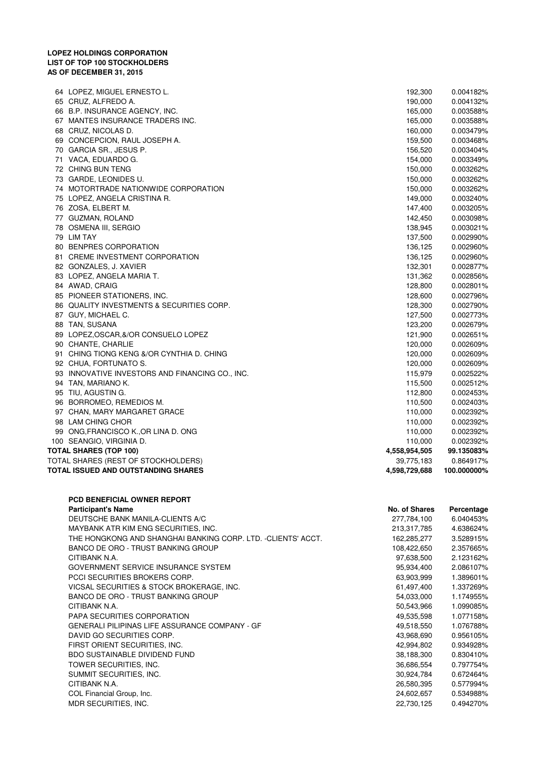## **LOPEZ HOLDINGS CORPORATION LIST OF TOP 100 STOCKHOLDERS AS OF DECEMBER 31, 2015**

| TOTAL ISSUED AND OUTSTANDING SHARES             | 4,598,729,688 | 100.000000%  |
|-------------------------------------------------|---------------|--------------|
| TOTAL SHARES (REST OF STOCKHOLDERS)             | 39,775,183    | 0.864917%    |
| <b>TOTAL SHARES (TOP 100)</b>                   | 4,558,954,505 | 99.135083%   |
| 100 SEANGIO, VIRGINIA D.                        | 110,000       | 0.002392%    |
| 99 ONG, FRANCISCO K., OR LINA D. ONG            | 110,000       | 0.002392%    |
| 98 LAM CHING CHOR                               | 110,000       | 0.002392%    |
| 97 CHAN, MARY MARGARET GRACE                    | 110,000       | 0.002392%    |
| 96 BORROMEO, REMEDIOS M.                        | 110,500       | 0.002403%    |
| 95 TIU, AGUSTIN G.                              | 112,800       | 0.002453%    |
| 94 TAN, MARIANO K.                              | 115,500       | 0.002512%    |
| 93 INNOVATIVE INVESTORS AND FINANCING CO., INC. | 115,979       | 0.002522%    |
| 92 CHUA, FORTUNATO S.                           | 120,000       | 0.002609%    |
| 91 CHING TIONG KENG &/OR CYNTHIA D. CHING       | 120,000       | 0.002609%    |
| 90 CHANTE, CHARLIE                              | 120,000       | 0.002609%    |
| 89 LOPEZ, OSCAR, &/OR CONSUELO LOPEZ            | 121,900       | 0.002651%    |
| 88 TAN, SUSANA                                  | 123,200       | 0.002679%    |
| 87 GUY, MICHAEL C.                              | 127,500       | 0.002773%    |
| 86 QUALITY INVESTMENTS & SECURITIES CORP.       | 128,300       | 0.002790%    |
| 85 PIONEER STATIONERS, INC.                     | 128,600       | 0.002796%    |
| 84 AWAD, CRAIG                                  | 128,800       | $0.002801\%$ |
| 83 LOPEZ, ANGELA MARIA T.                       | 131,362       | 0.002856%    |
| 82 GONZALES, J. XAVIER                          | 132,301       | 0.002877%    |
| 81 CREME INVESTMENT CORPORATION                 | 136,125       | 0.002960%    |
| 80 BENPRES CORPORATION                          | 136,125       | 0.002960%    |
| 79 LIM TAY                                      | 137,500       | 0.002990%    |
| 78 OSMENA III, SERGIO                           | 138,945       | 0.003021%    |
| 77 GUZMAN, ROLAND                               | 142,450       | 0.003098%    |
| 76 ZOSA, ELBERT M.                              | 147,400       | 0.003205%    |
| 75 LOPEZ, ANGELA CRISTINA R.                    | 149,000       | 0.003240%    |
| 74 MOTORTRADE NATIONWIDE CORPORATION            | 150,000       | 0.003262%    |
| 73 GARDE, LEONIDES U.                           | 150,000       | 0.003262%    |
| 72 CHING BUN TENG                               | 150,000       | 0.003262%    |
| 71 VACA, EDUARDO G.                             | 154,000       | 0.003349%    |
| 70 GARCIA SR., JESUS P.                         | 156,520       | 0.003404%    |
| 69 CONCEPCION, RAUL JOSEPH A.                   | 159,500       | 0.003468%    |
| 68 CRUZ, NICOLAS D.                             | 160,000       | 0.003479%    |
| 67 MANTES INSURANCE TRADERS INC.                | 165,000       | 0.003588%    |
| 66 B.P. INSURANCE AGENCY, INC.                  | 165,000       | 0.003588%    |
| 65 CRUZ, ALFREDO A.                             | 190,000       | 0.004132%    |
| 64 LOPEZ, MIGUEL ERNESTO L.                     | 192,300       | 0.004182%    |

| <b>PCD BENEFICIAL OWNER REPORT</b> |  |
|------------------------------------|--|
| <b>Participant's Name</b>          |  |
|                                    |  |

| <b>Participant's Name</b>                                    | No. of Shares | Percentage |
|--------------------------------------------------------------|---------------|------------|
| DEUTSCHE BANK MANILA-CLIENTS A/C                             | 277,784,100   | 6.040453%  |
| MAYBANK ATR KIM ENG SECURITIES, INC.                         | 213,317,785   | 4.638624%  |
| THE HONGKONG AND SHANGHAI BANKING CORP. LTD. -CLIENTS' ACCT. | 162,285,277   | 3.528915%  |
| BANCO DE ORO - TRUST BANKING GROUP                           | 108,422,650   | 2.357665%  |
| CITIBANK N.A.                                                | 97,638,500    | 2.123162%  |
| GOVERNMENT SERVICE INSURANCE SYSTEM                          | 95.934.400    | 2.086107%  |
| PCCI SECURITIES BROKERS CORP.                                | 63,903,999    | 1.389601%  |
| VICSAL SECURITIES & STOCK BROKERAGE, INC.                    | 61,497,400    | 1.337269%  |
| BANCO DE ORO - TRUST BANKING GROUP                           | 54,033,000    | 1.174955%  |
| CITIBANK N.A.                                                | 50,543,966    | 1.099085%  |
| <b>PAPA SECURITIES CORPORATION</b>                           | 49,535,598    | 1.077158%  |
| <b>GENERALI PILIPINAS LIFE ASSURANCE COMPANY - GF</b>        | 49,518,550    | 1.076788%  |
| DAVID GO SECURITIES CORP.                                    | 43,968,690    | 0.956105%  |
| FIRST ORIENT SECURITIES, INC.                                | 42.994.802    | 0.934928%  |
| <b>BDO SUSTAINABLE DIVIDEND FUND</b>                         | 38,188,300    | 0.830410%  |
| TOWER SECURITIES, INC.                                       | 36,686,554    | 0.797754%  |
| SUMMIT SECURITIES, INC.                                      | 30,924,784    | 0.672464%  |
| CITIBANK N.A.                                                | 26,580,395    | 0.577994%  |
| COL Financial Group, Inc.                                    | 24,602,657    | 0.534988%  |
| MDR SECURITIES, INC.                                         | 22,730,125    | 0.494270%  |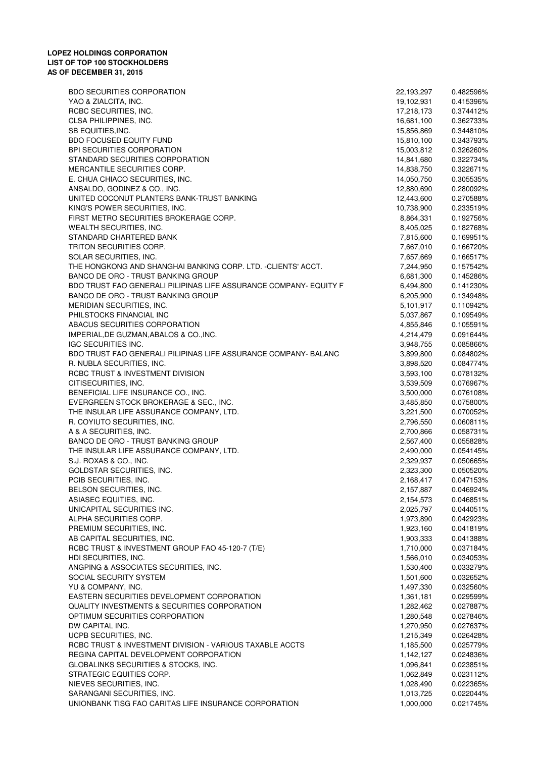| <b>BDO SECURITIES CORPORATION</b>                                 | 22,193,297 | 0.482596% |
|-------------------------------------------------------------------|------------|-----------|
| YAO & ZIALCITA, INC.                                              | 19,102,931 | 0.415396% |
| RCBC SECURITIES, INC.                                             | 17,218,173 | 0.374412% |
| CLSA PHILIPPINES, INC.                                            | 16,681,100 | 0.362733% |
| SB EQUITIES, INC.                                                 | 15,856,869 | 0.344810% |
| <b>BDO FOCUSED EQUITY FUND</b>                                    | 15,810,100 | 0.343793% |
| BPI SECURITIES CORPORATION                                        | 15,003,812 | 0.326260% |
| STANDARD SECURITIES CORPORATION                                   | 14,841,680 | 0.322734% |
| MERCANTILE SECURITIES CORP.                                       | 14,838,750 | 0.322671% |
| E. CHUA CHIACO SECURITIES, INC.                                   | 14,050,750 | 0.305535% |
| ANSALDO, GODINEZ & CO., INC.                                      | 12,880,690 | 0.280092% |
| UNITED COCONUT PLANTERS BANK-TRUST BANKING                        | 12,443,600 | 0.270588% |
| KING'S POWER SECURITIES, INC.                                     | 10,738,900 | 0.233519% |
| FIRST METRO SECURITIES BROKERAGE CORP.                            | 8,864,331  | 0.192756% |
| WEALTH SECURITIES, INC.                                           | 8,405,025  | 0.182768% |
| STANDARD CHARTERED BANK                                           | 7,815,600  | 0.169951% |
| TRITON SECURITIES CORP.                                           | 7,667,010  | 0.166720% |
| SOLAR SECURITIES, INC.                                            | 7,657,669  | 0.166517% |
| THE HONGKONG AND SHANGHAI BANKING CORP. LTD. -CLIENTS' ACCT.      | 7,244,950  | 0.157542% |
| BANCO DE ORO - TRUST BANKING GROUP                                | 6,681,300  | 0.145286% |
| BDO TRUST FAO GENERALI PILIPINAS LIFE ASSURANCE COMPANY- EQUITY F | 6,494,800  | 0.141230% |
| <b>BANCO DE ORO - TRUST BANKING GROUP</b>                         | 6,205,900  | 0.134948% |
| MERIDIAN SECURITIES, INC.                                         | 5,101,917  | 0.110942% |
| PHILSTOCKS FINANCIAL INC                                          | 5,037,867  | 0.109549% |
| ABACUS SECURITIES CORPORATION                                     | 4,855,846  | 0.105591% |
| IMPERIAL, DE GUZMAN, ABALOS & CO., INC.                           | 4,214,479  | 0.091644% |
| IGC SECURITIES INC.                                               | 3,948,755  | 0.085866% |
| BDO TRUST FAO GENERALI PILIPINAS LIFE ASSURANCE COMPANY- BALANC   | 3,899,800  | 0.084802% |
| R. NUBLA SECURITIES, INC.                                         | 3,898,520  | 0.084774% |
| RCBC TRUST & INVESTMENT DIVISION                                  | 3,593,100  | 0.078132% |
| CITISECURITIES, INC.                                              | 3,539,509  | 0.076967% |
| BENEFICIAL LIFE INSURANCE CO., INC.                               | 3,500,000  | 0.076108% |
| EVERGREEN STOCK BROKERAGE & SEC., INC.                            | 3,485,850  | 0.075800% |
| THE INSULAR LIFE ASSURANCE COMPANY, LTD.                          | 3,221,500  | 0.070052% |
| R. COYIUTO SECURITIES, INC.                                       | 2,796,550  | 0.060811% |
| A & A SECURITIES, INC.                                            | 2,700,866  | 0.058731% |
| BANCO DE ORO - TRUST BANKING GROUP                                | 2,567,400  | 0.055828% |
| THE INSULAR LIFE ASSURANCE COMPANY, LTD.                          | 2,490,000  | 0.054145% |
| S.J. ROXAS & CO., INC.                                            | 2,329,937  | 0.050665% |
| <b>GOLDSTAR SECURITIES, INC.</b>                                  | 2,323,300  | 0.050520% |
| PCIB SECURITIES, INC.                                             | 2,168,417  | 0.047153% |
| BELSON SECURITIES, INC.                                           | 2,157,887  | 0.046924% |
| ASIASEC EQUITIES, INC.                                            | 2,154,573  | 0.046851% |
| UNICAPITAL SECURITIES INC.                                        | 2,025,797  | 0.044051% |
| ALPHA SECURITIES CORP.                                            | 1,973,890  | 0.042923% |
| PREMIUM SECURITIES, INC.                                          | 1,923,160  | 0.041819% |
| AB CAPITAL SECURITIES, INC.                                       | 1,903,333  | 0.041388% |
| RCBC TRUST & INVESTMENT GROUP FAO 45-120-7 (T/E)                  | 1,710,000  | 0.037184% |
| HDI SECURITIES, INC.                                              | 1,566,010  | 0.034053% |
| ANGPING & ASSOCIATES SECURITIES, INC.                             | 1,530,400  | 0.033279% |
| SOCIAL SECURITY SYSTEM                                            | 1,501,600  | 0.032652% |
| YU & COMPANY, INC.                                                | 1,497,330  | 0.032560% |
| EASTERN SECURITIES DEVELOPMENT CORPORATION                        | 1,361,181  | 0.029599% |
| QUALITY INVESTMENTS & SECURITIES CORPORATION                      | 1,282,462  | 0.027887% |
| OPTIMUM SECURITIES CORPORATION                                    | 1,280,548  | 0.027846% |
| DW CAPITAL INC.                                                   | 1,270,950  | 0.027637% |
| UCPB SECURITIES, INC.                                             | 1,215,349  | 0.026428% |
| RCBC TRUST & INVESTMENT DIVISION - VARIOUS TAXABLE ACCTS          | 1,185,500  | 0.025779% |
| REGINA CAPITAL DEVELOPMENT CORPORATION                            | 1,142,127  | 0.024836% |
| GLOBALINKS SECURITIES & STOCKS, INC.                              | 1,096,841  | 0.023851% |
| STRATEGIC EQUITIES CORP.                                          | 1,062,849  | 0.023112% |
| NIEVES SECURITIES, INC.                                           | 1,028,490  | 0.022365% |
| SARANGANI SECURITIES, INC.                                        | 1,013,725  | 0.022044% |
| UNIONBANK TISG FAO CARITAS LIFE INSURANCE CORPORATION             | 1,000,000  | 0.021745% |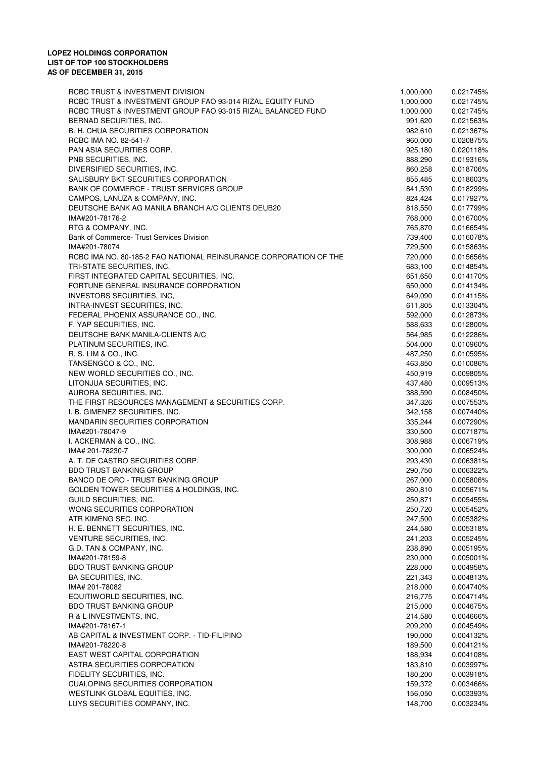| RCBC TRUST & INVESTMENT DIVISION                                  | 1,000,000 | 0.021745% |
|-------------------------------------------------------------------|-----------|-----------|
| RCBC TRUST & INVESTMENT GROUP FAO 93-014 RIZAL EQUITY FUND        | 1,000,000 | 0.021745% |
| RCBC TRUST & INVESTMENT GROUP FAO 93-015 RIZAL BALANCED FUND      | 1,000,000 | 0.021745% |
| BERNAD SECURITIES, INC.                                           | 991,620   | 0.021563% |
| B. H. CHUA SECURITIES CORPORATION                                 | 982,610   | 0.021367% |
| RCBC IMA NO. 82-541-7                                             | 960,000   | 0.020875% |
| PAN ASIA SECURITIES CORP.                                         | 925,180   | 0.020118% |
| PNB SECURITIES, INC.                                              | 888,290   | 0.019316% |
| DIVERSIFIED SECURITIES, INC.                                      | 860,258   | 0.018706% |
| SALISBURY BKT SECURITIES CORPORATION                              | 855,485   | 0.018603% |
| BANK OF COMMERCE - TRUST SERVICES GROUP                           | 841,530   | 0.018299% |
| CAMPOS, LANUZA & COMPANY, INC.                                    | 824,424   | 0.017927% |
| DEUTSCHE BANK AG MANILA BRANCH A/C CLIENTS DEUB20                 | 818,550   | 0.017799% |
| IMA#201-78176-2                                                   | 768,000   | 0.016700% |
| RTG & COMPANY, INC.                                               | 765,870   | 0.016654% |
| Bank of Commerce-Trust Services Division                          | 739,400   | 0.016078% |
| IMA#201-78074                                                     | 729,500   | 0.015863% |
| RCBC IMA NO. 80-185-2 FAO NATIONAL REINSURANCE CORPORATION OF THE | 720,000   | 0.015656% |
| TRI-STATE SECURITIES, INC.                                        | 683,100   | 0.014854% |
| FIRST INTEGRATED CAPITAL SECURITIES, INC.                         | 651,650   | 0.014170% |
| FORTUNE GENERAL INSURANCE CORPORATION                             | 650,000   | 0.014134% |
| INVESTORS SECURITIES, INC,                                        | 649,090   | 0.014115% |
| INTRA-INVEST SECURITIES, INC.                                     | 611,805   | 0.013304% |
| FEDERAL PHOENIX ASSURANCE CO., INC.                               | 592,000   | 0.012873% |
| F. YAP SECURITIES, INC.                                           | 588,633   | 0.012800% |
| DEUTSCHE BANK MANILA-CLIENTS A/C                                  | 564,985   | 0.012286% |
| PLATINUM SECURITIES, INC.                                         | 504,000   | 0.010960% |
| R. S. LIM & CO., INC.                                             | 487,250   | 0.010595% |
| TANSENGCO & CO., INC.                                             | 463,850   | 0.010086% |
| NEW WORLD SECURITIES CO., INC.                                    | 450,919   | 0.009805% |
| LITONJUA SECURITIES, INC.                                         | 437,480   | 0.009513% |
| AURORA SECURITIES, INC.                                           | 388,590   | 0.008450% |
| THE FIRST RESOURCES MANAGEMENT & SECURITIES CORP.                 | 347,326   | 0.007553% |
| I. B. GIMENEZ SECURITIES, INC.                                    | 342,158   | 0.007440% |
| <b>MANDARIN SECURITIES CORPORATION</b>                            | 335,244   | 0.007290% |
| IMA#201-78047-9                                                   | 330,500   | 0.007187% |
| I. ACKERMAN & CO., INC.                                           | 308,988   | 0.006719% |
| IMA# 201-78230-7                                                  | 300,000   | 0.006524% |
| A. T. DE CASTRO SECURITIES CORP.                                  | 293,430   | 0.006381% |
| <b>BDO TRUST BANKING GROUP</b>                                    | 290,750   | 0.006322% |
| BANCO DE ORO - TRUST BANKING GROUP                                | 267,000   | 0.005806% |
| GOLDEN TOWER SECURITIES & HOLDINGS, INC.                          | 260,810   | 0.005671% |
| GUILD SECURITIES, INC.                                            | 250,871   | 0.005455% |
| WONG SECURITIES CORPORATION                                       | 250,720   | 0.005452% |
| ATR KIMENG SEC. INC.                                              | 247,500   | 0.005382% |
| H. E. BENNETT SECURITIES, INC.                                    | 244,580   | 0.005318% |
| VENTURE SECURITIES, INC.                                          | 241,203   | 0.005245% |
| G.D. TAN & COMPANY, INC.                                          | 238,890   | 0.005195% |
| IMA#201-78159-8                                                   | 230,000   | 0.005001% |
| <b>BDO TRUST BANKING GROUP</b>                                    | 228,000   | 0.004958% |
| BA SECURITIES, INC.                                               | 221,343   | 0.004813% |
| IMA# 201-78082                                                    | 218,000   | 0.004740% |
| EQUITIWORLD SECURITIES, INC.                                      | 216,775   | 0.004714% |
| <b>BDO TRUST BANKING GROUP</b>                                    | 215,000   | 0.004675% |
| R & L INVESTMENTS, INC.                                           | 214,580   | 0.004666% |
| IMA#201-78167-1                                                   | 209,200   | 0.004549% |
| AB CAPITAL & INVESTMENT CORP. - TID-FILIPINO                      | 190,000   | 0.004132% |
| IMA#201-78220-8                                                   | 189,500   | 0.004121% |
| EAST WEST CAPITAL CORPORATION                                     | 188,934   | 0.004108% |
| ASTRA SECURITIES CORPORATION                                      | 183,810   | 0.003997% |
| FIDELITY SECURITIES, INC.                                         | 180,200   | 0.003918% |
| <b>CUALOPING SECURITIES CORPORATION</b>                           | 159,372   | 0.003466% |
| WESTLINK GLOBAL EQUITIES, INC.                                    | 156,050   | 0.003393% |
| LUYS SECURITIES COMPANY, INC.                                     | 148,700   | 0.003234% |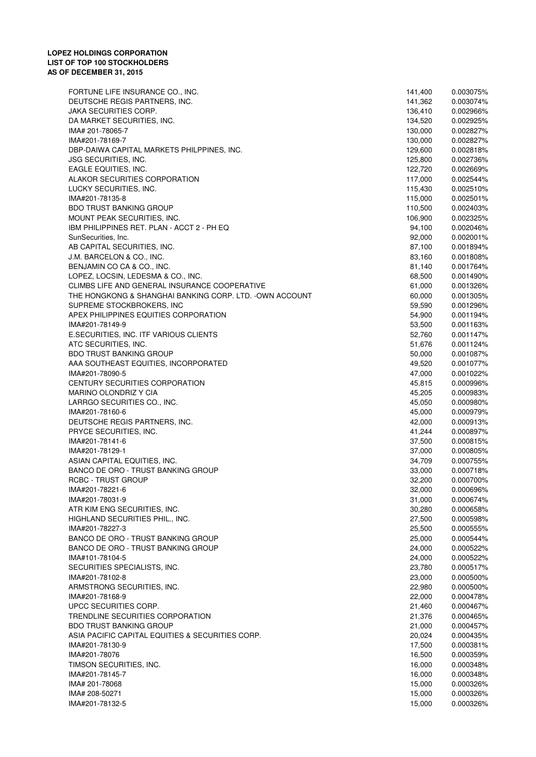FORTUNE LIFE INSURANCE CO., INC. 141,400 0.003075% DEUTSCHE REGIS PARTNERS, INC. 0.003074% 141,362 JAKA SECURITIES CORP. 0.002966% 136,410 DA MARKET SECURITIES. INC. And the state of the state of the state of the state of the state of the state of the state of the state of the state of the state of the state of the state of the state of the state of the state IMA# 201-78065-7 0.002827% 130,000 IMA#201-78169-7 0.002827% 130,000 DBP-DAIWA CAPITAL MARKETS PHILPPINES, INC. 0.002818% 129,600 JSG SECURITIES, INC. 0.002736% 125,800 EAGLE EQUITIES, INC. 0.002669% 122,720 ALAKOR SECURITIES CORPORATION **117,000** 0.002544% LUCKY SECURITIES, INC. 2002/07/07 2012 115,430 115,430 1002510% IMA#201-78135-8 0.002501% 115,000 BDO TRUST BANKING GROUP **110,500** 0.002403% MOUNT PEAK SECURITIES. INC. **0.002325%** 106.900 0.002325% IBM PHILIPPINES RET. PLAN - ACCT 2 - PH EQ 0.002046% 84,100 0.002046% 94,100 0.002046% SunSecurities, Inc. 6.002001% 92,000 92,000 0.002001% 92,000 0.002001% AB CAPITAL SECURITIES, INC. And the state of the state of the state of the state of the state of the state of the state of the state of the state of the state of the state of the state of the state of the state of the stat J.M. BARCELON & CO., INC. 0.001808% 83,160 BENJAMIN CO CA & CO., INC. 6.0001764% 81,140 81,140 81,140 81,140 81,140 81,140 81,140 81,140 81,140 81,140 81 LOPEZ, LOCSIN, LEDESMA & CO., INC. 2002 0.001490% 68,500 0.001490% 68,500 0.001490% CLIMBS LIFE AND GENERAL INSURANCE COOPERATIVE CONSUMING A CONSUMING A COOP 0.001326% THE HONGKONG & SHANGHAI BANKING CORP. LTD. -OWN ACCOUNT 60.000 60.000 0.001305% SUPREME STOCKBROKERS, INC 6.0001296% 69,590 59,590 6.001296% APEX PHILIPPINES EQUITIES CORPORATION 61 0.001194% 64,900 0.001194% IMA#201-78149-9 0.001163% 53,500 E.SECURITIES, INC. ITF VARIOUS CLIENTS **1.0001147%** 52,760 0.001147% ATC SECURITIES, INC. 2001 24% 51,676 51,676 51,676 51,676 51,676 51,676 51,676 51,676 51,676 51,676 51,676 51,676 51,676 51,676 51,676 51,676 51,676 51,676 51,676 51,676 51,676 51,676 51,676 51,676 51,676 51,676 51,676 51, BDO TRUST BANKING GROUP **1.0001087%** 50,000 50,000 50,001087% AAA SOUTHEAST EQUITIES, INCORPORATED 1999 10001077% 199520 1001077% IMA#201-78090-5 0.001022% 47,000 CENTURY SECURITIES CORPORATION 0.000996% 45,815 MARINO OLONDRIZ Y CIA 0.000983% AND 1.0000983% 45,205 0.000983% LARRGO SECURITIES CO., INC. 20000980% 6.0000980% 45,050 45,050 45,050 45,050 45,050 45,050 45,050 45,050 45,050 45,050 45,050 45,050 45,050 45,050 45,050 45,050 45,050 45,050 45,050 45,050 45,050 45,050 45,050 45,050 45,05 IMA#201-78160-6 0.000979% 45,000 DEUTSCHE REGIS PARTNERS, INC. **DEUTSCHE REGIS PARTNERS, INC. 12.000 12.000 12.000 12.000 12.000 12.000** PRYCE SECURITIES, INC. 20000897% 6.000897% 41,244 0.000897% IMA#201-78141-6 0.000815% 37,500 IMA#201-78129-1 0.000805% 37,000 ASIAN CAPITAL EQUITIES, INC.  $34.709$  0.000755% BANCO DE ORO - TRUST BANKING GROUP 
0.000718% RCBC - TRUST GROUP 0.000700% 32,200 0.000700% IMA#201-78221-6 0.000696% 32,000 IMA#201-78031-9 0.000674% 31,000 ATR KIM ENG SECURITIES, INC. 0.000658% 30,280 HIGHLAND SECURITIES PHIL., INC. 0.000598% 27,500 IMA#201-78227-3 0.000555% 25,500 BANCO DE ORO - TRUST BANKING GROUP 0.000544% 25,000 0.000544% BANCO DE ORO - TRUST BANKING GROUP 
0.000522% IMA#101-78104-5 0.000522% 24,000 SECURITIES SPECIALISTS, INC. 23,780 0.000517% IMA#201-78102-8 0.000500% 23,000 ARMSTRONG SECURITIES, INC. 0.000500% 22,980 IMA#201-78168-9 0.000478% 22,000 UPCC SECURITIES CORP. 0.000467% 21,460 TRENDLINE SECURITIES CORPORATION  $21.376$  0.000465% BDO TRUST BANKING GROUP **CONSUMING THE CONSUMING SECURE 21,000** 0.000457% ASIA PACIFIC CAPITAL EQUITIES & SECURITIES CORP.  $20.024$  0.000435% IMA#201-78130-9 0.000381% 17,500 IMA#201-78076 0.000359% 16,500 TIMSON SECURITIES, INC. 2000 16,000 16,000 16,000 16,000 16,000 16,000 16,000 16,000 16,000 16,000 16,000 16,000 16,000 16,000 16,000 16,000 16,000 16,000 16,000 16,000 16,000 16,000 16,000 16,000 16,000 16,000 16,000 16,0 IMA#201-78145-7 0.000348% 16,000 IMA# 201-78068 0.000326% 15,000 IMA# 208-50271 0.000326% 15,000 IMA#201-78132-5 0.000326% 15,000